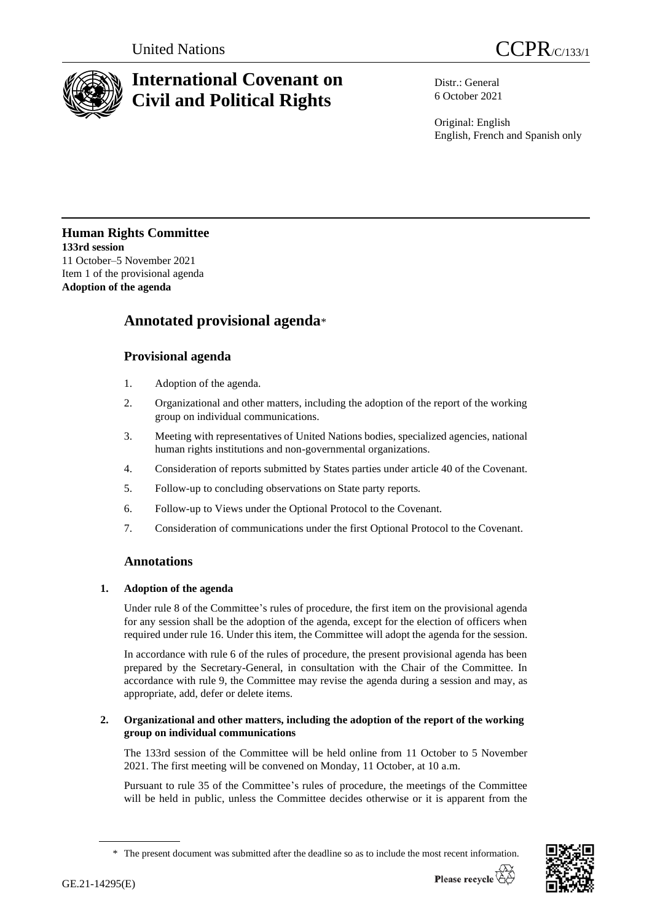

# **International Covenant on Civil and Political Rights**

Distr.: General 6 October 2021

Original: English English, French and Spanish only

#### **Human Rights Committee 133rd session** 11 October–5 November 2021 Item 1 of the provisional agenda **Adoption of the agenda**

## **Annotated provisional agenda**\*

## **Provisional agenda**

- 1. Adoption of the agenda.
- 2. Organizational and other matters, including the adoption of the report of the working group on individual communications.
- 3. Meeting with representatives of United Nations bodies, specialized agencies, national human rights institutions and non-governmental organizations.
- 4. Consideration of reports submitted by States parties under article 40 of the Covenant.
- 5. Follow-up to concluding observations on State party reports.
- 6. Follow-up to Views under the Optional Protocol to the Covenant.
- 7. Consideration of communications under the first Optional Protocol to the Covenant.

## **Annotations**

### **1. Adoption of the agenda**

Under rule 8 of the Committee's rules of procedure, the first item on the provisional agenda for any session shall be the adoption of the agenda, except for the election of officers when required under rule 16. Under this item, the Committee will adopt the agenda for the session.

In accordance with rule 6 of the rules of procedure, the present provisional agenda has been prepared by the Secretary-General, in consultation with the Chair of the Committee. In accordance with rule 9, the Committee may revise the agenda during a session and may, as appropriate, add, defer or delete items.

#### **2. Organizational and other matters, including the adoption of the report of the working group on individual communications**

The 133rd session of the Committee will be held online from 11 October to 5 November 2021. The first meeting will be convened on Monday, 11 October, at 10 a.m.

Pursuant to rule 35 of the Committee's rules of procedure, the meetings of the Committee will be held in public, unless the Committee decides otherwise or it is apparent from the

<sup>\*</sup> The present document was submitted after the deadline so as to include the most recent information.

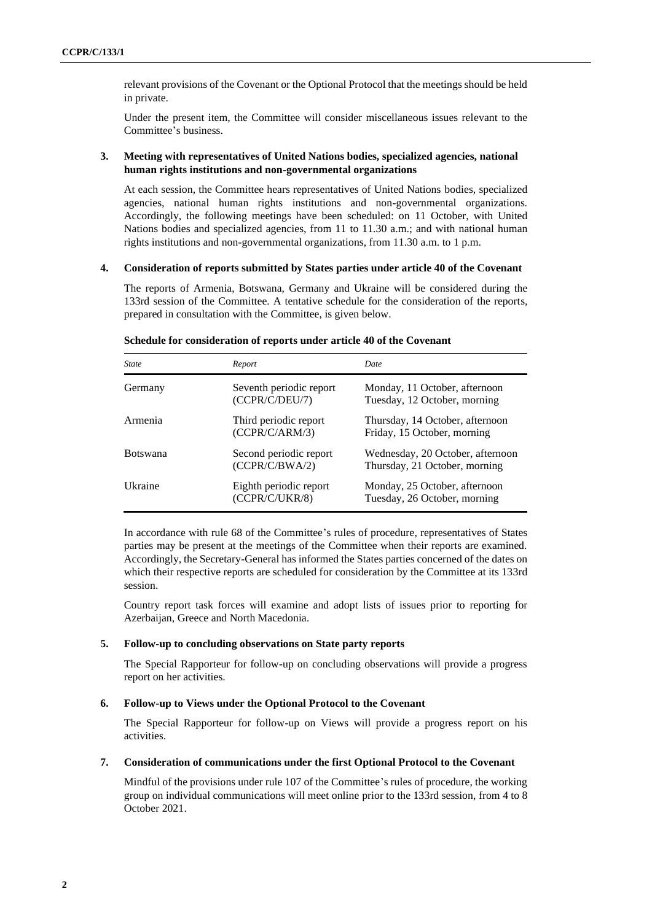relevant provisions of the Covenant or the Optional Protocol that the meetings should be held in private.

Under the present item, the Committee will consider miscellaneous issues relevant to the Committee's business.

#### **3. Meeting with representatives of United Nations bodies, specialized agencies, national human rights institutions and non-governmental organizations**

At each session, the Committee hears representatives of United Nations bodies, specialized agencies, national human rights institutions and non-governmental organizations. Accordingly, the following meetings have been scheduled: on 11 October, with United Nations bodies and specialized agencies, from 11 to 11.30 a.m.; and with national human rights institutions and non-governmental organizations, from 11.30 a.m. to 1 p.m.

#### **4. Consideration of reports submitted by States parties under article 40 of the Covenant**

The reports of Armenia, Botswana, Germany and Ukraine will be considered during the 133rd session of the Committee. A tentative schedule for the consideration of the reports, prepared in consultation with the Committee, is given below.

| <b>State</b>    | Report                                    | Date                                                              |
|-----------------|-------------------------------------------|-------------------------------------------------------------------|
| Germany         | Seventh periodic report<br>(CCPR/C/DEU/7) | Monday, 11 October, afternoon<br>Tuesday, 12 October, morning     |
| Armenia         | Third periodic report<br>(CCPR/C/ARM/3)   | Thursday, 14 October, afternoon<br>Friday, 15 October, morning    |
| <b>Botswana</b> | Second periodic report<br>(CCPR/C/BWA/2)  | Wednesday, 20 October, afternoon<br>Thursday, 21 October, morning |
| Ukraine         | Eighth periodic report<br>(CCPR/C/UKR/8)  | Monday, 25 October, afternoon<br>Tuesday, 26 October, morning     |

#### **Schedule for consideration of reports under article 40 of the Covenant**

In accordance with rule 68 of the Committee's rules of procedure, representatives of States parties may be present at the meetings of the Committee when their reports are examined. Accordingly, the Secretary-General has informed the States parties concerned of the dates on which their respective reports are scheduled for consideration by the Committee at its 133rd session.

Country report task forces will examine and adopt lists of issues prior to reporting for Azerbaijan, Greece and North Macedonia.

#### **5. Follow-up to concluding observations on State party reports**

The Special Rapporteur for follow-up on concluding observations will provide a progress report on her activities.

#### **6. Follow-up to Views under the Optional Protocol to the Covenant**

The Special Rapporteur for follow-up on Views will provide a progress report on his activities.

#### **7. Consideration of communications under the first Optional Protocol to the Covenant**

Mindful of the provisions under rule 107 of the Committee's rules of procedure, the working group on individual communications will meet online prior to the 133rd session, from 4 to 8 October 2021.